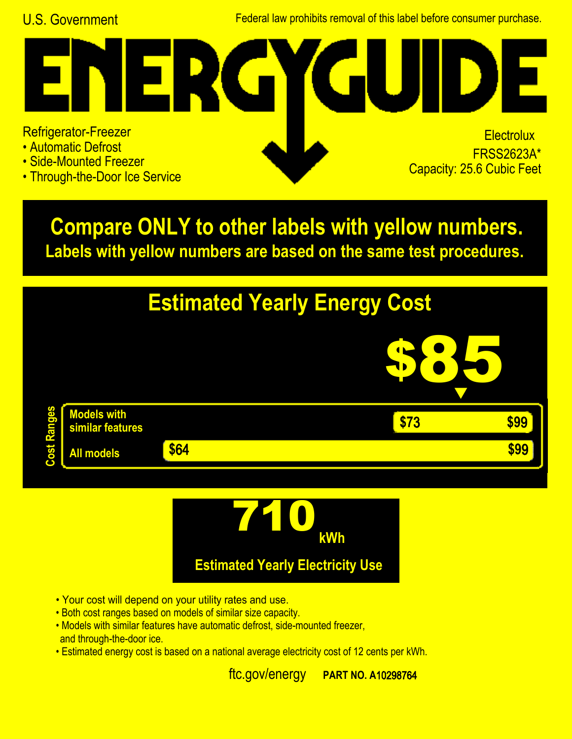U.S. Government Federal law prohibits removal of this label before consumer purchase.

## **ER**  $\blacksquare$ Refrigerator-Freezer • Automatic Defrost

- Side-Mounted Freezer
- Through-the-Door Ice Service

**Electrolux FRSS2623A\***<br>Capacity: 25.6 Cubic Feet

**Labels with yellow numbers are based on the same test procedures. Compare ONLY to other labels with yellow numbers.**





- Your cost will depend on your utility rates and use.
- Both cost ranges based on models of similar size capacity.
- and through-the-door ice. • Models with similar features have automatic defrost, side-mounted freezer,
- Estimated energy cost is based on a national average electricity cost of 12 cents per kWh.

ftc.gov/energy **PART NO.**